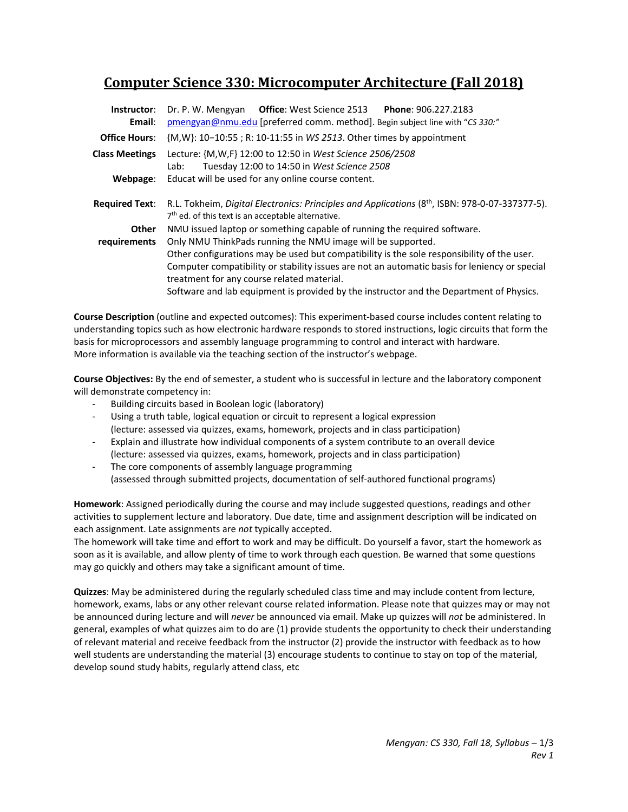# **Computer Science 330: Microcomputer Architecture (Fall 2018)**

| Instructor:<br>Email: | <b>Office:</b> West Science 2513    Phone: 906.227.2183<br>Dr. P. W. Mengyan<br>pmengyan@nmu.edu [preferred comm. method]. Begin subject line with "CS 330:"                                                                                                                                             |  |  |  |  |
|-----------------------|----------------------------------------------------------------------------------------------------------------------------------------------------------------------------------------------------------------------------------------------------------------------------------------------------------|--|--|--|--|
| <b>Office Hours:</b>  | {M,W}: 10-10:55; R: 10-11:55 in WS 2513. Other times by appointment                                                                                                                                                                                                                                      |  |  |  |  |
| <b>Class Meetings</b> | Lecture: {M, W, F} 12:00 to 12:50 in West Science 2506/2508<br>Tuesday 12:00 to 14:50 in West Science 2508<br>Lab:                                                                                                                                                                                       |  |  |  |  |
| Webpage:              | Educat will be used for any online course content.                                                                                                                                                                                                                                                       |  |  |  |  |
| <b>Required Text:</b> | R.L. Tokheim, Digital Electronics: Principles and Applications (8 <sup>th</sup> , ISBN: 978-0-07-337377-5).<br>7 <sup>th</sup> ed. of this text is an acceptable alternative.                                                                                                                            |  |  |  |  |
| <b>Other</b>          | NMU issued laptop or something capable of running the required software.                                                                                                                                                                                                                                 |  |  |  |  |
| requirements          | Only NMU ThinkPads running the NMU image will be supported.<br>Other configurations may be used but compatibility is the sole responsibility of the user.<br>Computer compatibility or stability issues are not an automatic basis for leniency or special<br>treatment for any course related material. |  |  |  |  |
|                       | Software and lab equipment is provided by the instructor and the Department of Physics.                                                                                                                                                                                                                  |  |  |  |  |

**Course Description** (outline and expected outcomes): This experiment‐based course includes content relating to understanding topics such as how electronic hardware responds to stored instructions, logic circuits that form the basis for microprocessors and assembly language programming to control and interact with hardware. More information is available via the teaching section of the instructor's webpage.

**Course Objectives:** By the end of semester, a student who is successful in lecture and the laboratory component will demonstrate competency in:

- ‐ Building circuits based in Boolean logic (laboratory)
- Using a truth table, logical equation or circuit to represent a logical expression (lecture: assessed via quizzes, exams, homework, projects and in class participation)
- ‐ Explain and illustrate how individual components of a system contribute to an overall device (lecture: assessed via quizzes, exams, homework, projects and in class participation)
- The core components of assembly language programming (assessed through submitted projects, documentation of self‐authored functional programs)

**Homework**: Assigned periodically during the course and may include suggested questions, readings and other activities to supplement lecture and laboratory. Due date, time and assignment description will be indicated on each assignment. Late assignments are *not* typically accepted.

The homework will take time and effort to work and may be difficult. Do yourself a favor, start the homework as soon as it is available, and allow plenty of time to work through each question. Be warned that some questions may go quickly and others may take a significant amount of time.

**Quizzes**: May be administered during the regularly scheduled class time and may include content from lecture, homework, exams, labs or any other relevant course related information. Please note that quizzes may or may not be announced during lecture and will *never* be announced via email. Make up quizzes will *not* be administered. In general, examples of what quizzes aim to do are (1) provide students the opportunity to check their understanding of relevant material and receive feedback from the instructor (2) provide the instructor with feedback as to how well students are understanding the material (3) encourage students to continue to stay on top of the material, develop sound study habits, regularly attend class, etc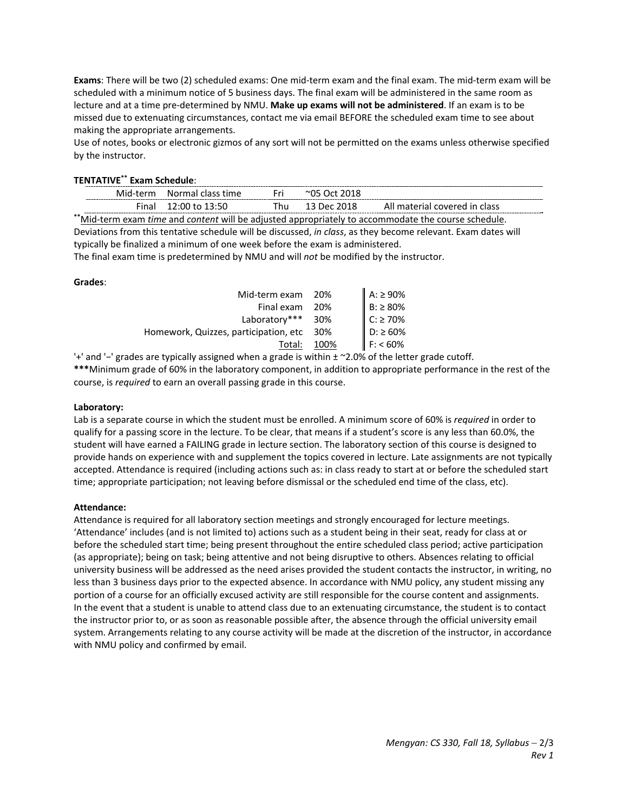**Exams**: There will be two (2) scheduled exams: One mid‐term exam and the final exam. The mid‐term exam will be scheduled with a minimum notice of 5 business days. The final exam will be administered in the same room as lecture and at a time pre‐determined by NMU. **Make up exams will not be administered**. If an exam is to be missed due to extenuating circumstances, contact me via email BEFORE the scheduled exam time to see about making the appropriate arrangements.

Use of notes, books or electronic gizmos of any sort will not be permitted on the exams unless otherwise specified by the instructor.

### **TENTATIVE\*\* Exam Schedule**:

|                                                                                                               |  | Mid-term Normal class time | Fri. | $^{\circ}$ 05 Oct 2018 |                               |  |  |
|---------------------------------------------------------------------------------------------------------------|--|----------------------------|------|------------------------|-------------------------------|--|--|
|                                                                                                               |  | Final 12:00 to 13:50       | Thu  | 13 Dec 2018            | All material covered in class |  |  |
| **Mid-term exam time and content will be adjusted appropriately to accommodate the course schedule.           |  |                            |      |                        |                               |  |  |
| Deviations from this tentative schedule will be discussed, in class, as they become relevant. Exam dates will |  |                            |      |                        |                               |  |  |

typically be finalized a minimum of one week before the exam is administered.

The final exam time is predetermined by NMU and will *not* be modified by the instructor.

#### **Grades**:

| Mid-term exam 20%                     |       | $A: \ge 90\%$  |
|---------------------------------------|-------|----------------|
| Final exam                            | - 20% | $B: \ge 80\%$  |
| Laboratory***                         | 30%   | $C: \geq 70\%$ |
| Homework, Quizzes, participation, etc | -30%  | $D: \geq 60\%$ |
| Total:                                | 100%  | $F: < 60\%$    |

'+' and '−' grades are typically assigned when a grade is within ± ~2.0% of the letter grade cutoff.

**\*\*\***Minimum grade of 60% in the laboratory component, in addition to appropriate performance in the rest of the course, is *required* to earn an overall passing grade in this course.

#### **Laboratory:**

Lab is a separate course in which the student must be enrolled. A minimum score of 60% is *required* in order to qualify for a passing score in the lecture. To be clear, that means if a student's score is any less than 60.0%, the student will have earned a FAILING grade in lecture section. The laboratory section of this course is designed to provide hands on experience with and supplement the topics covered in lecture. Late assignments are not typically accepted. Attendance is required (including actions such as: in class ready to start at or before the scheduled start time; appropriate participation; not leaving before dismissal or the scheduled end time of the class, etc).

#### **Attendance:**

Attendance is required for all laboratory section meetings and strongly encouraged for lecture meetings. 'Attendance' includes (and is not limited to) actions such as a student being in their seat, ready for class at or before the scheduled start time; being present throughout the entire scheduled class period; active participation (as appropriate); being on task; being attentive and not being disruptive to others. Absences relating to official university business will be addressed as the need arises provided the student contacts the instructor, in writing, no less than 3 business days prior to the expected absence. In accordance with NMU policy, any student missing any portion of a course for an officially excused activity are still responsible for the course content and assignments. In the event that a student is unable to attend class due to an extenuating circumstance, the student is to contact the instructor prior to, or as soon as reasonable possible after, the absence through the official university email system. Arrangements relating to any course activity will be made at the discretion of the instructor, in accordance with NMU policy and confirmed by email.